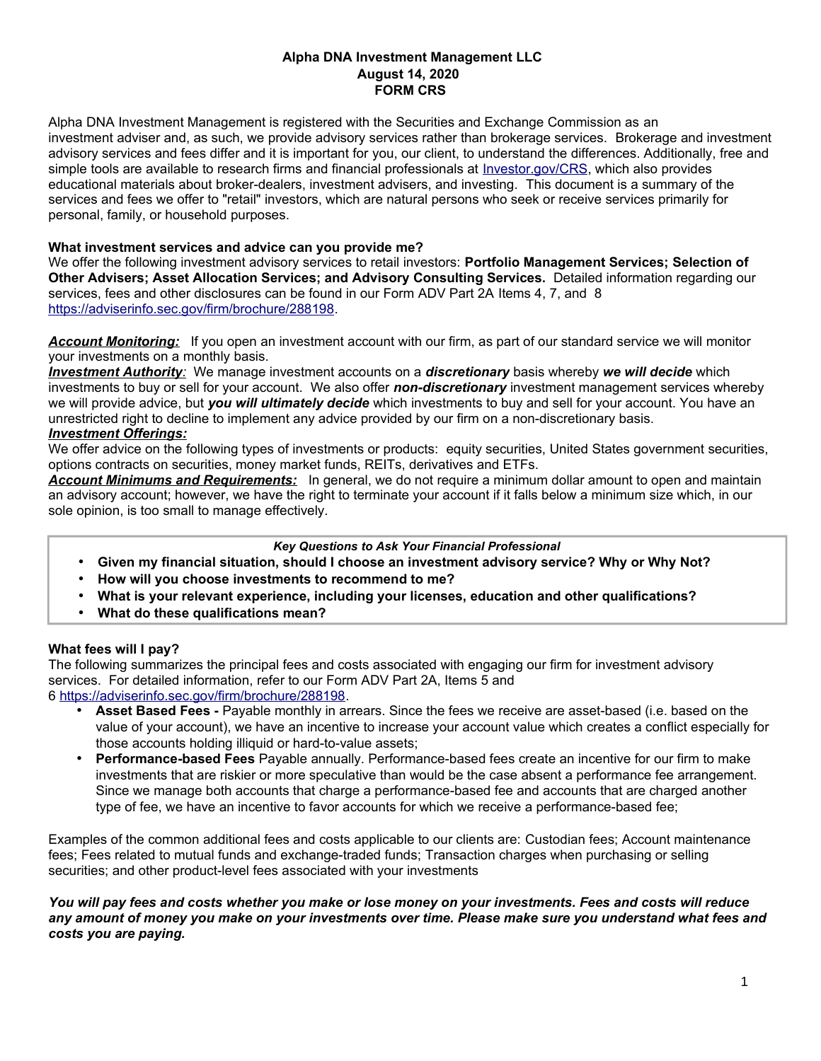# **Alpha DNA Investment Management LLC August 14, 2020 FORM CRS**

Alpha DNA Investment Management is registered with the Securities and Exchange Commission as an investment adviser and, as such, we provide advisory services rather than brokerage services. Brokerage and investment advisory services and fees differ and it is important for you, our client, to understand the differences. Additionally, free and simple tools are available to research firms and financial professionals at [Investor.gov/CRS,](http://www.investor.gov/crs) which also provides educational materials about broker-dealers, investment advisers, and investing. This document is a summary of the services and fees we offer to "retail" investors, which are natural persons who seek or receive services primarily for personal, family, or household purposes.

## **What investment services and advice can you provide me?**

We offer the following investment advisory services to retail investors: **Portfolio Management Services; Selection of Other Advisers; Asset Allocation Services; and Advisory Consulting Services.** Detailed information regarding our services, fees and other disclosures can be found in our Form ADV Part 2A Items 4, 7, and 8 [https://adviserinfo.sec.gov/firm/brochure/288198.](https://adviserinfo.sec.gov/firm/brochure/288198)

*Account Monitoring:* If you open an investment account with our firm, as part of our standard service we will monitor your investments on a monthly basis.

 *Investment Authority:* We manage investment accounts on a *discretionary* basis whereby *we will decide* which investments to buy or sell for your account. We also offer *non-discretionary* investment management services whereby we will provide advice, but *you will ultimately decide* which investments to buy and sell for your account. You have an unrestricted right to decline to implement any advice provided by our firm on a non-discretionary basis.

# *Investment Offerings:*

We offer advice on the following types of investments or products: equity securities, United States government securities, options contracts on securities, money market funds, REITs, derivatives and ETFs.

*Account Minimums and Requirements:* In general, we do not require a minimum dollar amount to open and maintain an advisory account; however, we have the right to terminate your account if it falls below a minimum size which, in our sole opinion, is too small to manage effectively.

### *Key Questions to Ask Your Financial Professional*

- **Given my financial situation, should I choose an investment advisory service? Why or Why Not?**
- **How will you choose investments to recommend to me?**
- **What is your relevant experience, including your licenses, education and other qualifications?**
- **What do these qualifications mean?**

# **What fees will I pay?**

The following summarizes the principal fees and costs associated with engaging our firm for investment advisory services. For detailed information, refer to our Form ADV Part 2A, Items 5 and 6 [https://adviserinfo.sec.gov/firm/brochure/288198.](https://adviserinfo.sec.gov/firm/brochure/288198)

- **Asset Based Fees -** Payable monthly in arrears. Since the fees we receive are asset-based (i.e. based on the value of your account), we have an incentive to increase your account value which creates a conflict especially for those accounts holding illiquid or hard-to-value assets;
- **Performance-based Fees** Payable annually. Performance-based fees create an incentive for our firm to make investments that are riskier or more speculative than would be the case absent a performance fee arrangement. Since we manage both accounts that charge a performance-based fee and accounts that are charged another type of fee, we have an incentive to favor accounts for which we receive a performance-based fee;

Examples of the common additional fees and costs applicable to our clients are: Custodian fees; Account maintenance fees; Fees related to mutual funds and exchange-traded funds; Transaction charges when purchasing or selling securities; and other product-level fees associated with your investments

*You will pay fees and costs whether you make or lose money on your investments. Fees and costs will reduce any amount of money you make on your investments over time. Please make sure you understand what fees and costs you are paying.*